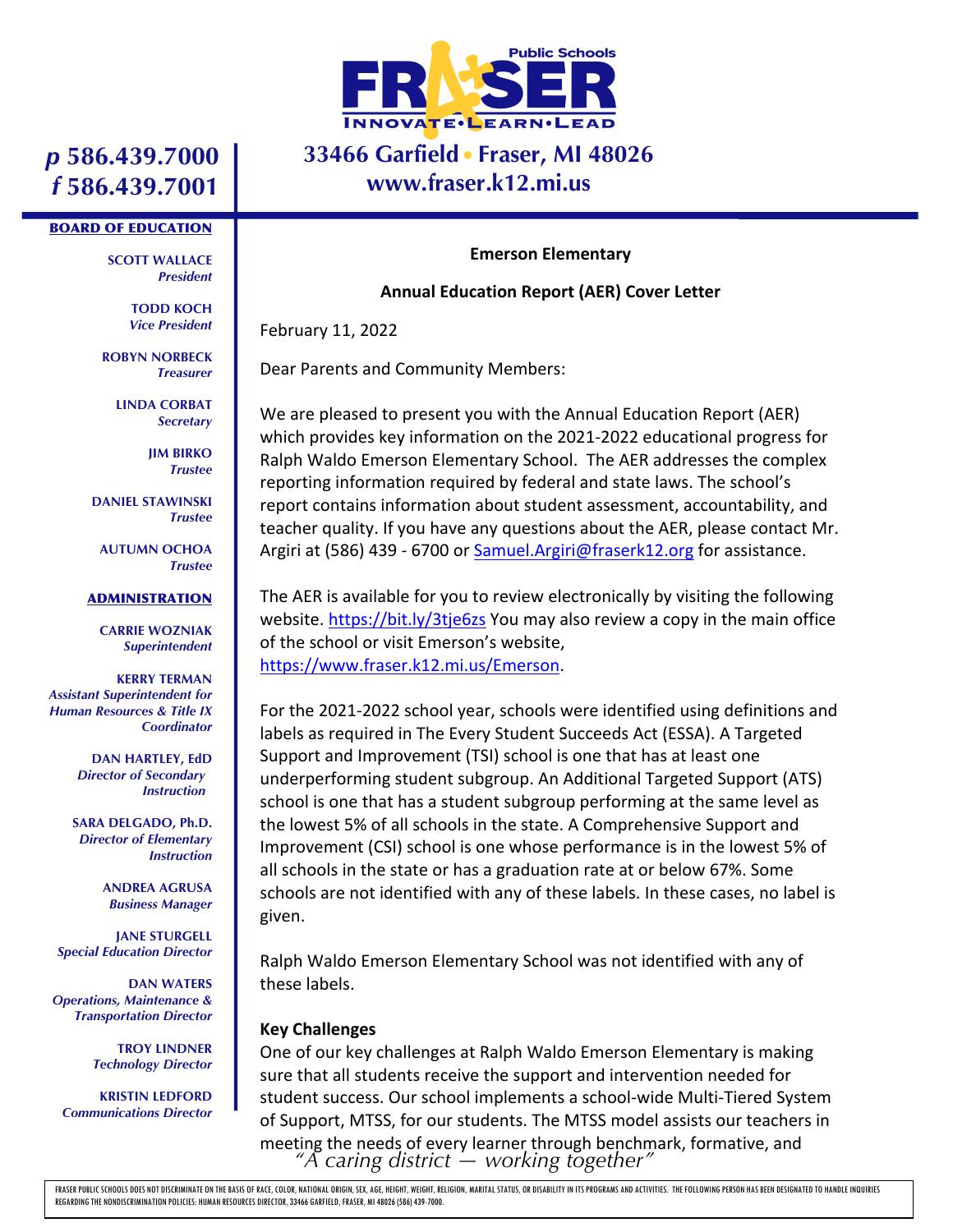

## **33466 Garfield Fraser, MI 48026 www.fraser.k12.mi.us**

# *p* **586.439.7000** *f* **586.439.7001**

#### BOARD OF EDUCATION

**SCOTT WALLACE** *President*

> **TODD KOCH** *Vice President*

**ROBYN NORBECK** *Treasurer*

> **LINDA CORBAT** *Secretary*

> > **JIM BIRKO** *Trustee*

**DANIEL STAWINSKI** *Trustee*

**AUTUMN OCHOA** *Trustee*

#### **ADMINISTRATION**

**CARRIE WOZNIAK** *Superintendent*

**KERRY TERMAN** *Assistant Superintendent for Human Resources & Title IX Coordinator*

> **DAN HARTLEY, EdD** *Director of Secondary Instruction*

**SARA DELGADO, Ph.D.** *Director of Elementary Instruction*

> **ANDREA AGRUSA** *Business Manager*

**JANE STURGELL** *Special Education Director*

**DAN WATERS** *Operations, Maintenance & Transportation Director*

> **TROY LINDNER** *Technology Director*

**KRISTIN LEDFORD** *Communications Director*

#### **Emerson Elementary**

### **Annual Education Report (AER) Cover Letter**

February 11, 2022

Dear Parents and Community Members:

We are pleased to present you with the Annual Education Report (AER) which provides key information on the 2021-2022 educational progress for Ralph Waldo Emerson Elementary School. The AER addresses the complex reporting information required by federal and state laws. The school's report contains information about student assessment, accountability, and teacher quality. If you have any questions about the AER, please contact Mr. Argiri at (586) 439 - 6700 or Samuel.Argiri@fraserk12.org for assistance.

The AER is available for you to review electronically by visiting the following website. https://bit.ly/3tje6zs You may also review a copy in the main office of the school or visit Emerson's website, https://www.fraser.k12.mi.us/Emerson.

For the 2021-2022 school year, schools were identified using definitions and labels as required in The Every Student Succeeds Act (ESSA). A Targeted Support and Improvement (TSI) school is one that has at least one underperforming student subgroup. An Additional Targeted Support (ATS) school is one that has a student subgroup performing at the same level as the lowest 5% of all schools in the state. A Comprehensive Support and Improvement (CSI) school is one whose performance is in the lowest 5% of all schools in the state or has a graduation rate at or below 67%. Some schools are not identified with any of these labels. In these cases, no label is given.

Ralph Waldo Emerson Elementary School was not identified with any of these labels.

### **Key Challenges**

*"A caring district — working together"* One of our key challenges at Ralph Waldo Emerson Elementary is making sure that all students receive the support and intervention needed for student success. Our school implements a school-wide Multi-Tiered System of Support, MTSS, for our students. The MTSS model assists our teachers in meeting the needs of every learner through benchmark, formative, and

FRASER PUBLIC SCHOOLS DOES NOT DISCRIMINATE ON THE BASIS OF RACE, COLOR, NATIONAL ORIGIN, SEX, AGE, HEIGHT, WEIGHT, RELIGION, MARITAL STATUS, OR DISABILITY IN ITS PROGRAMS AND ACTIVITIES. THE FOLLOWING PERSON HAS BEEN DESI REGARDING THE NONDISCRIMINATION POLICIES: HUMAN RESOURCES DIRECTOR, 33466 GARFIELD, FRASER, MI 48026 (586) 439-7000.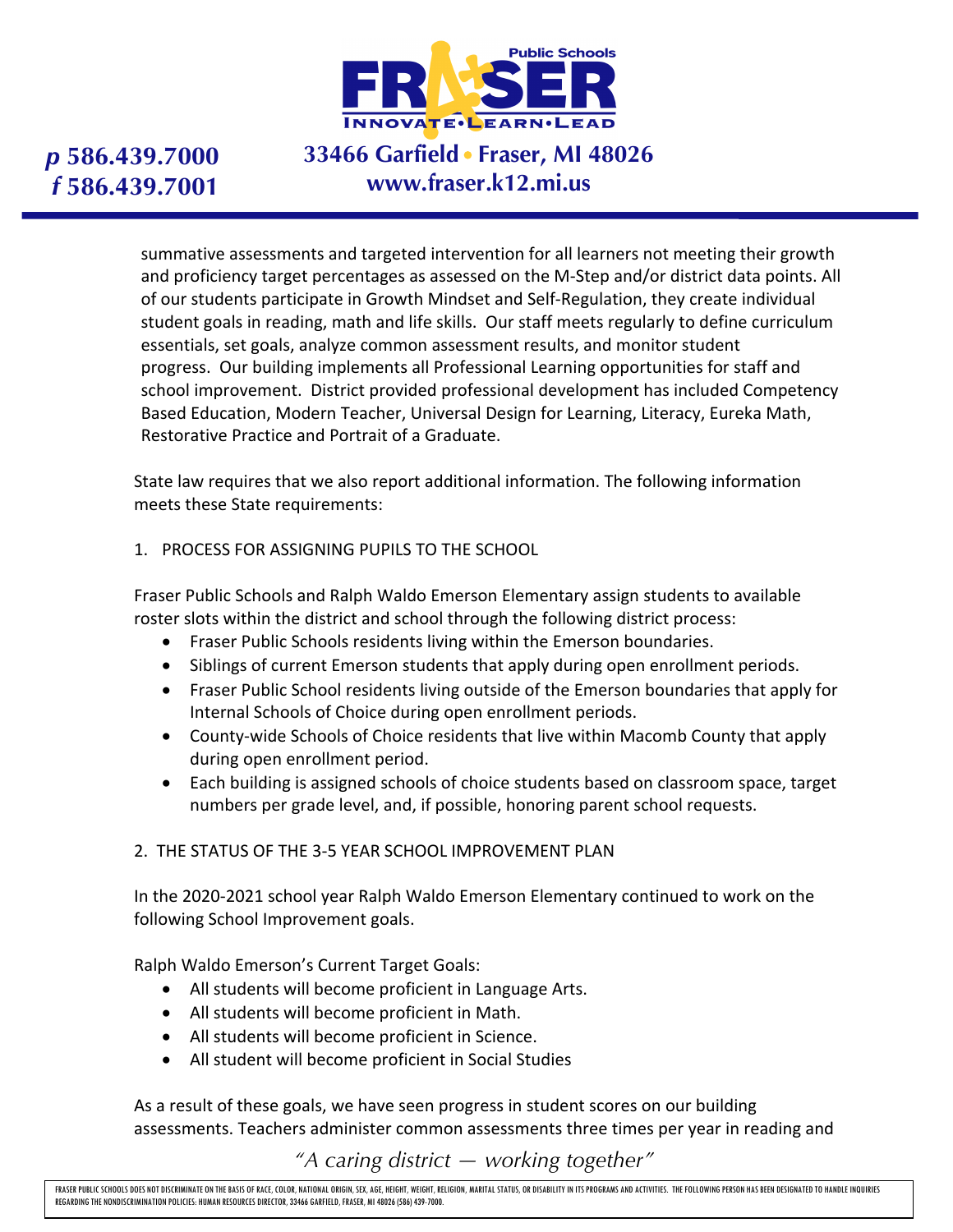

# **33466 Garfield Fraser, MI 48026 www.fraser.k12.mi.us**

summative assessments and targeted intervention for all learners not meeting their growth and proficiency target percentages as assessed on the M-Step and/or district data points. All of our students participate in Growth Mindset and Self-Regulation, they create individual student goals in reading, math and life skills. Our staff meets regularly to define curriculum essentials, set goals, analyze common assessment results, and monitor student progress. Our building implements all Professional Learning opportunities for staff and school improvement. District provided professional development has included Competency Based Education, Modern Teacher, Universal Design for Learning, Literacy, Eureka Math, Restorative Practice and Portrait of a Graduate.

State law requires that we also report additional information. The following information meets these State requirements:

### 1. PROCESS FOR ASSIGNING PUPILS TO THE SCHOOL

Fraser Public Schools and Ralph Waldo Emerson Elementary assign students to available roster slots within the district and school through the following district process:

- Fraser Public Schools residents living within the Emerson boundaries.
- Siblings of current Emerson students that apply during open enrollment periods.
- Fraser Public School residents living outside of the Emerson boundaries that apply for Internal Schools of Choice during open enrollment periods.
- County-wide Schools of Choice residents that live within Macomb County that apply during open enrollment period.
- Each building is assigned schools of choice students based on classroom space, target numbers per grade level, and, if possible, honoring parent school requests.

### 2. THE STATUS OF THE 3-5 YEAR SCHOOL IMPROVEMENT PLAN

In the 2020-2021 school year Ralph Waldo Emerson Elementary continued to work on the following School Improvement goals.

Ralph Waldo Emerson's Current Target Goals:

- All students will become proficient in Language Arts.
- All students will become proficient in Math.
- All students will become proficient in Science.
- All student will become proficient in Social Studies

As a result of these goals, we have seen progress in student scores on our building assessments. Teachers administer common assessments three times per year in reading and

*"A caring district — working together"*

FRASER PUBLIC SCHOOLS DOES NOT DISCRIMINATE ON THE BASIS OF RACE, COLOR, NATIONAL ORIGIN, SEX, AGE, HEIGHT, WEIGHT, RELIGION, MARITAL STATUS, OR DISABILITY IN ITS PROGRAMS AND ACTIVITIES. THE FOLLOWING PERSON HAS BEEN DESI REGARDING THE NONDISCRIMINATION POLICIES: HUMAN RESOURCES DIRECTOR, 33466 GARFIELD, FRASER, MI 48026 (586) 439-7000.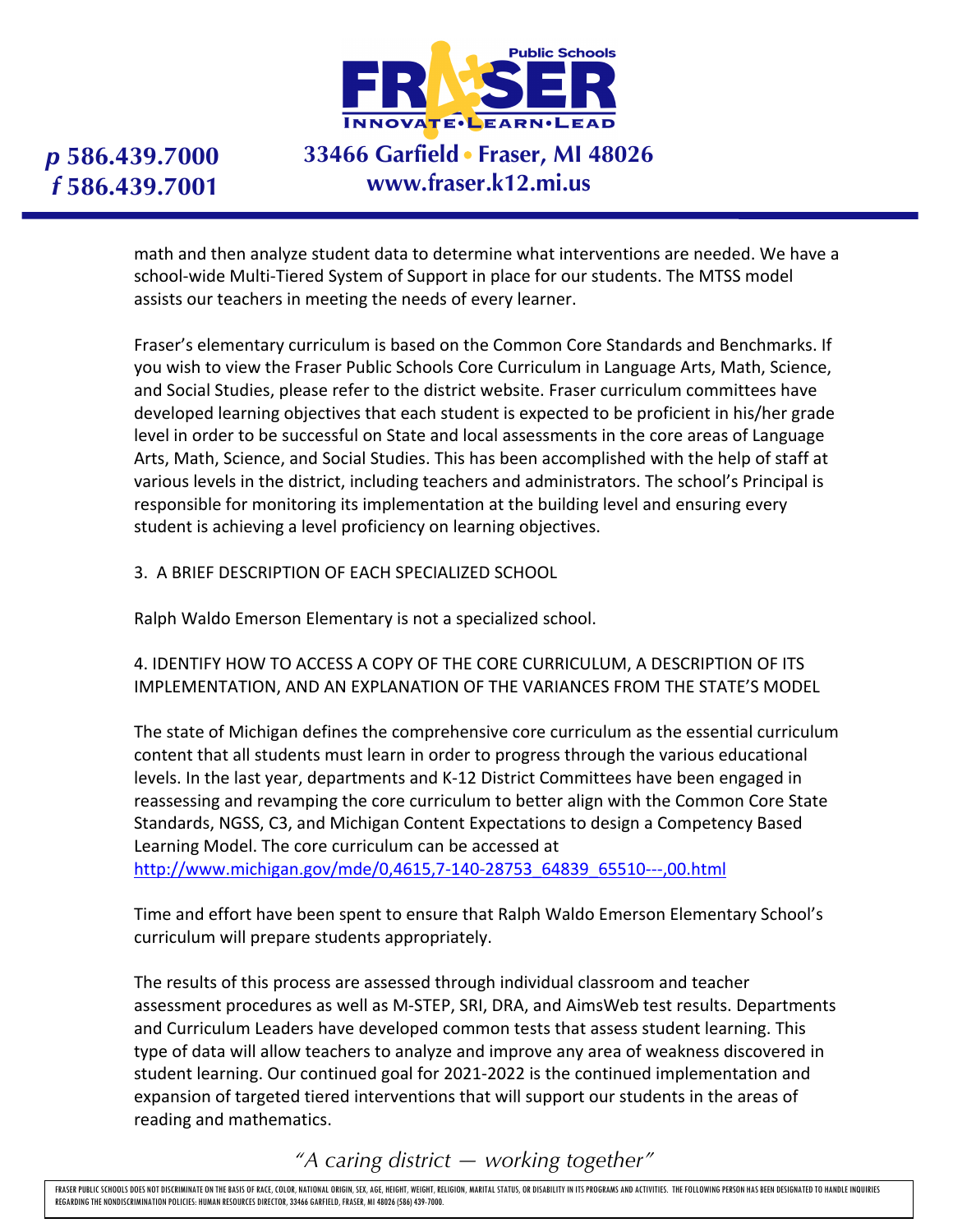

# **33466 Garfield Fraser, MI 48026 www.fraser.k12.mi.us**

math and then analyze student data to determine what interventions are needed. We have a school-wide Multi-Tiered System of Support in place for our students. The MTSS model assists our teachers in meeting the needs of every learner.

Fraser's elementary curriculum is based on the Common Core Standards and Benchmarks. If you wish to view the Fraser Public Schools Core Curriculum in Language Arts, Math, Science, and Social Studies, please refer to the district website. Fraser curriculum committees have developed learning objectives that each student is expected to be proficient in his/her grade level in order to be successful on State and local assessments in the core areas of Language Arts, Math, Science, and Social Studies. This has been accomplished with the help of staff at various levels in the district, including teachers and administrators. The school's Principal is responsible for monitoring its implementation at the building level and ensuring every student is achieving a level proficiency on learning objectives.

### 3. A BRIEF DESCRIPTION OF EACH SPECIALIZED SCHOOL

Ralph Waldo Emerson Elementary is not a specialized school.

4. IDENTIFY HOW TO ACCESS A COPY OF THE CORE CURRICULUM, A DESCRIPTION OF ITS IMPLEMENTATION, AND AN EXPLANATION OF THE VARIANCES FROM THE STATE'S MODEL

The state of Michigan defines the comprehensive core curriculum as the essential curriculum content that all students must learn in order to progress through the various educational levels. In the last year, departments and K-12 District Committees have been engaged in reassessing and revamping the core curriculum to better align with the Common Core State Standards, NGSS, C3, and Michigan Content Expectations to design a Competency Based Learning Model. The core curriculum can be accessed at

http://www.michigan.gov/mde/0,4615,7-140-28753\_64839\_65510---,00.html

Time and effort have been spent to ensure that Ralph Waldo Emerson Elementary School's curriculum will prepare students appropriately.

The results of this process are assessed through individual classroom and teacher assessment procedures as well as M-STEP, SRI, DRA, and AimsWeb test results. Departments and Curriculum Leaders have developed common tests that assess student learning. This type of data will allow teachers to analyze and improve any area of weakness discovered in student learning. Our continued goal for 2021-2022 is the continued implementation and expansion of targeted tiered interventions that will support our students in the areas of reading and mathematics.

*"A caring district — working together"*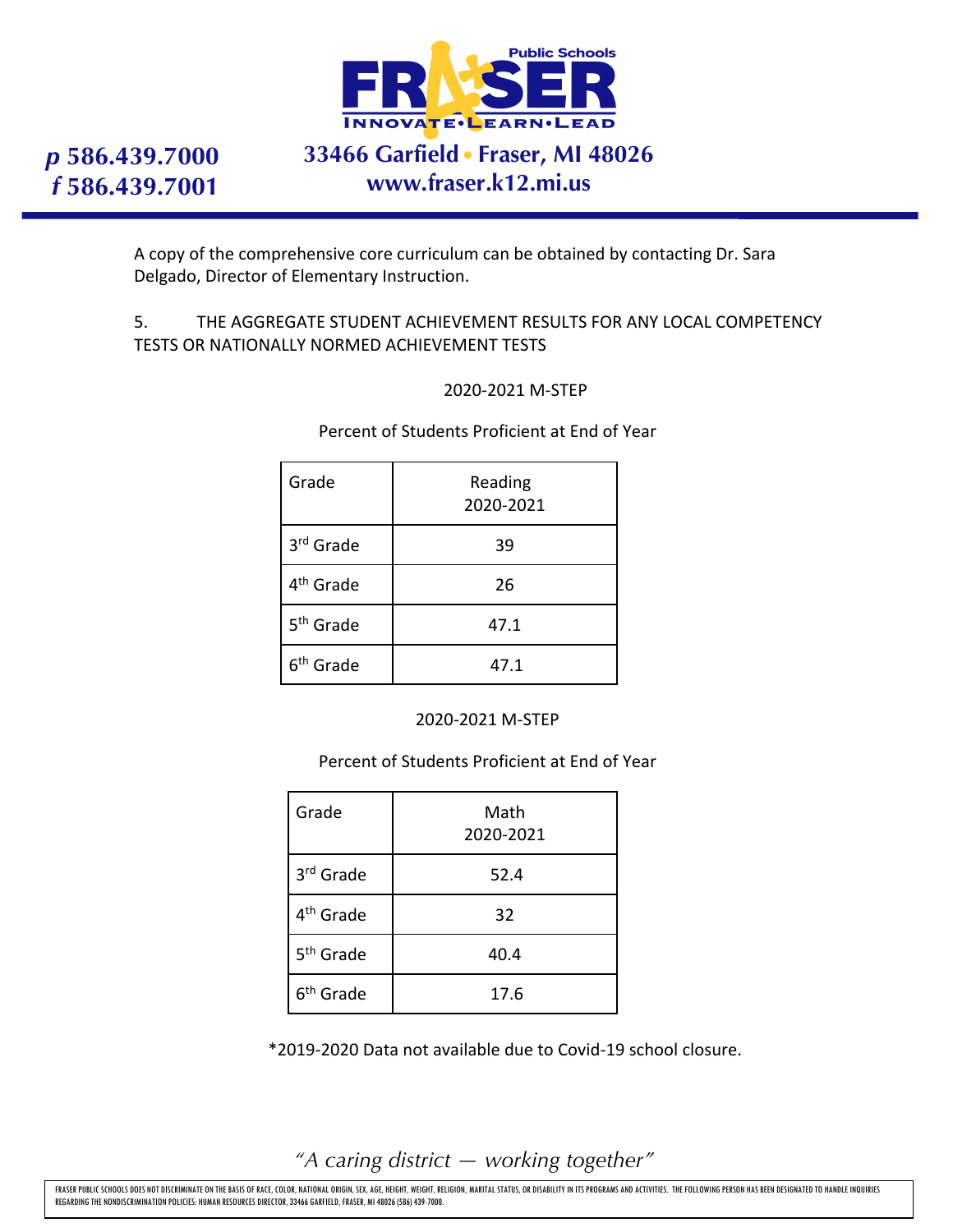

# **33466 Garfield Fraser, MI 48026 www.fraser.k12.mi.us**

A copy of the comprehensive core curriculum can be obtained by contacting Dr. Sara Delgado, Director of Elementary Instruction.

### 5. THE AGGREGATE STUDENT ACHIEVEMENT RESULTS FOR ANY LOCAL COMPETENCY TESTS OR NATIONALLY NORMED ACHIEVEMENT TESTS

### 2020-2021 M-STEP

Percent of Students Proficient at End of Year

| Grade                 | Reading<br>2020-2021 |
|-----------------------|----------------------|
| 3rd Grade             | 39                   |
| 4 <sup>th</sup> Grade | 26                   |
| 5 <sup>th</sup> Grade | 47.1                 |
| 6 <sup>th</sup> Grade | 47.1                 |

2020-2021 M-STEP

Percent of Students Proficient at End of Year

| Grade                 | Math<br>2020-2021 |
|-----------------------|-------------------|
| 3rd Grade             | 52.4              |
| 4 <sup>th</sup> Grade | 32                |
| 5 <sup>th</sup> Grade | 40.4              |
| 6 <sup>th</sup> Grade | 17.6              |

\*2019-2020 Data not available due to Covid-19 school closure.

*"A caring district — working together"*